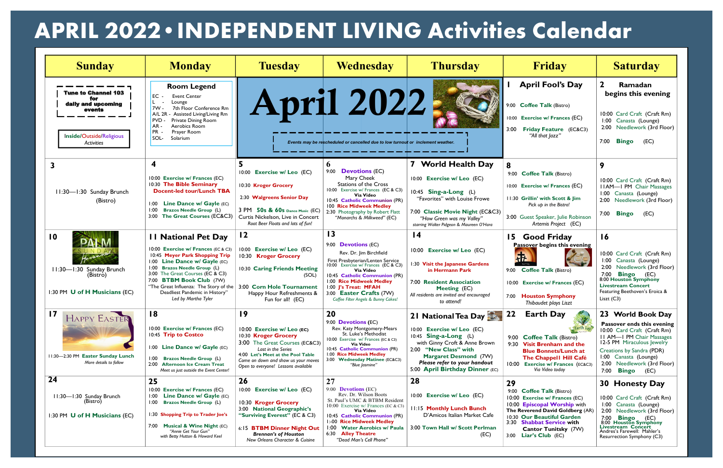| <b>Sunday</b>                                                                                                      | <b>Monday</b>                                                                                                                                                                                                                                                                                                                                                       | <b>Tuesday</b>                                                                                                                                                                                                                                   | <b>Wednesday</b>                                                                                                                                                                                                                                                                                                                | <b>Thursday</b>                                                                                                                                                                                                                         | Friday                                                                                                                                                                                                                                              | <b>Saturday</b>                                                                                                                                                                                                                                                 |
|--------------------------------------------------------------------------------------------------------------------|---------------------------------------------------------------------------------------------------------------------------------------------------------------------------------------------------------------------------------------------------------------------------------------------------------------------------------------------------------------------|--------------------------------------------------------------------------------------------------------------------------------------------------------------------------------------------------------------------------------------------------|---------------------------------------------------------------------------------------------------------------------------------------------------------------------------------------------------------------------------------------------------------------------------------------------------------------------------------|-----------------------------------------------------------------------------------------------------------------------------------------------------------------------------------------------------------------------------------------|-----------------------------------------------------------------------------------------------------------------------------------------------------------------------------------------------------------------------------------------------------|-----------------------------------------------------------------------------------------------------------------------------------------------------------------------------------------------------------------------------------------------------------------|
| <b>Tune to Channel 103</b><br>for<br>daily and upcoming<br>events<br>Inside/Outside/Religious<br><b>Activities</b> | <b>Room Legend</b><br>EC<br><b>Event Center</b><br>Lounge<br>7th Floor Conference Rm<br>7w -<br>Assisted Living/Living Rm<br>A/L 2R<br><b>PVD</b><br>Private Dining Room<br>AR-<br>Aerobics Room<br>PR -<br>Prayer Room<br>SOL-<br>Solarium                                                                                                                         |                                                                                                                                                                                                                                                  | April 2022<br>Events may be rescheduled or cancelled due to low turnout or inclement weather.                                                                                                                                                                                                                                   |                                                                                                                                                                                                                                         | <b>April Fool's Day</b><br>9:00 Coffee Talk (Bistro)<br>10:00 Exercise w/ Frances (EC)<br>3:00 Friday Feature (EC&C3)<br>"All that <i>lazz</i> "                                                                                                    | Ramadan<br>begins this evening<br>10:00 Card Craft (Craft Rm)<br>1:00 Canasta (Lounge)<br>2:00 Needlework (3rd Floor)<br>7:00 <b>Bingo</b><br>(EC)                                                                                                              |
| 3<br>11:30-1:30 Sunday Brunch<br>(Bistro)                                                                          | 4<br>10:00 Exercise w/ Frances (EC)<br>10:30 The Bible Seminary<br><b>Docent-led tour/Lunch TBA</b><br>1:00 Line Dance w/ Gayle (EC)<br><b>Brazos Needle Group (L)</b><br>1:00<br>3:00 The Great Courses (EC&C3)                                                                                                                                                    | 10:00 Exercise w/ Leo (EC)<br>10:30 Kroger Grocery<br>2:30 Walgreens Senior Day<br>3 PM 50s & 60s Dance Music (EC)<br>Curtis Nickelson, Live in Concert<br>Root Beer Floats and lots of fun!                                                     | 6<br><b>Devotions (EC)</b><br>9:00<br>Mary Cheek<br><b>Stations of the Cross</b><br>10:00 Exercise w/ Frances (EC & C3)<br>Via Video<br>10:45 Catholic Communion (PR)<br>100 Rice Midweek Medley<br>2:30 Photography by Robert Flatt<br>"Monarchs & Milkweed" (EC)                                                              | 7 World Health Day<br>10:00 Exercise w/ Leo (EC)<br>$10:45$ Sing-a-Long (L)<br>"Favorites" with Louise Frowe<br>7:00 Classic Movie Night (EC&C3)<br>"How Green was my Valley"<br>starring Walter Pidgeon & Maureen O'Hara               | 8<br>9:00 Coffee Talk (Bistro)<br>10:00 Exercise w/ Frances (EC)<br>11:30 Grillin' with Scott & Jim<br>Pick up in the Bistro!<br>3:00 Guest Speaker, Julie Robinson<br>Artemis Project (EC)                                                         | 9<br>10:00 Card Craft (Craft Rm)<br><b>IIAM-I PM</b> Chair Massages<br>1:00 Canasta (Lounge)<br>2:00 Needlework (3rd Floor)<br>7:00 <b>Bingo</b><br>(EC)                                                                                                        |
| $\overline{10}$<br>osann<br>11:30-1:30 Sunday Brunch<br>(Bistro)<br>1:30 PM U of H Musicians (EC)                  | <b>11 National Pet Day</b><br>10:00 Exercise w/ Frances (EC & C3)<br>10:45 Meyer Park Shopping Trip<br>1:00 Line Dance w/ Gayle (EC)<br>1:00 Brazos Needle Group (L)<br>3:00 The Great Courses (EC & C3)<br>7:00 BTBM Book Club (7W)<br>"The Great Influenza: The Story of the   3:00 Corn Hole Tournament<br>Deadliest Pandemic in History"<br>Led by Martha Tyler | $\overline{12}$<br><b>Exercise w/ Leo (EC)</b><br>10:00<br>10:30 Kroger Grocery<br>10:30 Caring Friends Meeting<br>(SOL)<br>Happy Hour Refreshments &<br>Fun for all! (EC)                                                                       | $\overline{13}$<br>9:00 <b>Devotions</b> (EC)<br>Rev. Dr. Jim Birchfield<br>First Presbyterian/Lenten Service<br>10:00 Exercise w/ Frances (EC & C3)<br><b>Via Video</b><br>10:45 Catholic Communion (PR)<br>1:00 Rice Midweek Medley<br>1:00 J's Treat: MFAH<br>3:00 Easter Crafts (7W)<br>Coffee Filter Angels & Bunny Cakes! | $\overline{14}$<br>10:00 Exercise w/ Leo (EC)<br>1:30 Visit the Japanese Gardens<br>in Hermann Park<br>7:00 Resident Association<br>Meeting (EC)<br>All residents are invited and encouraged<br>to attend!                              | 15 Good Friday<br>Passover begins this evening<br>办<br>God Friday<br>9:00 Coffee Talk (Bistro)<br>10:00 Exercise w/ Frances (EC)<br>7:00 Houston Symphony<br>Thibaudet plays Liszt                                                                  | 16<br>10:00 Card Craft (Craft Rm)<br>1:00 Canasta (Lounge)<br>2:00 Needlework (3rd Floor)<br><b>Bingo</b><br>7:00<br>(EC)<br>8:00 Houston Symphony<br><b>Livestream Concert</b><br>Featuring Beethoven's Eroica &<br>Liszt $(C3)$                               |
| <b>17 HAPPY EASTER</b><br>11:30-2:30 PM Easter Sunday Lunch<br>More details to follow                              | 18<br>10:00 Exercise w/ Frances (EC)<br>10:45 Trip to Costco<br>1:00 Line Dance w/ Gayle (EC)<br>1:00 Brazos Needle Group (L)<br>2:00 Afternoon Ice Cream Treat<br>Meet us just outside the Event Center!                                                                                                                                                           | $\overline{19}$<br>10:00 Exercise w/ Leo (EC)<br>10:30 Kroger Grocery<br>3:00 The Great Courses (EC&C3)<br>Last in the Series<br>4:00 Let's Meet at the Pool Table<br>Come on down and show us your moves<br>Open to everyone! Lessons available | 20<br>9:00 <b>Devotions</b> (EC)<br>Rev. Katy Montgomery-Mears<br>St. Luke's Methodist<br>10:00 Exercise w/ Frances (EC & C3)<br>Via Video<br>10:45 Catholic Communion (PR)<br>1:00 Rice Midweek Medley<br>3:00 Wednesday Matinee (EC&C3)<br>"Blue Jasmine"                                                                     | 21 National Tea Day<br>10:00 Exercise w/ Leo (EC)<br>10:45 Sing-a-Long (L)<br>with Ginny Croft & Anne Brown<br>2:00 "New Class" with<br><b>Margaret Desmond (7W)</b><br>Please refer to your handout<br>5:00 April Birthday Dinner (EC) | 22<br><b>Earth Day</b><br>Farth Day<br>9:00 Coffee Talk (Bistro)<br>9:30 Visit Brenham and the<br><b>Blue Bonnets/Lunch at</b><br>The Chappell Hill Café<br>10:00 Exercise w/ Frances (EC&C3)<br>Via Video today                                    | 23 World Book Day<br>Passover ends this evening<br>10:00 Card Craft (Craft Rm)<br><b>II AM-I PM Chair Massages</b><br>12-5 PM Miraculous Jewelry<br>Creations by Sandra (PDR)<br>1:00 Canasta (Lounge)<br>2:00 Needlework (3rd Floor)<br>7:00 <b>Bingo</b> (EC) |
| 24<br>11:30-1:30 Sunday Brunch<br>(Bistro)<br>1:30 PM U of H Musicians (EC)                                        | 25<br>10:00 Exercise w/ Frances (EC)<br>Line Dance w/ Gayle (EC)<br>1:00<br><b>Brazos Needle Group (L)</b><br>1:00<br>1:30 Shopping Trip to Trader Joe's<br>7:00 Musical & Wine Night (EC)<br>"Annie Get Your Gun"<br>with Betty Hutton & Howard Keel                                                                                                               | 26<br>10:00<br><b>Exercise w/ Leo (EC)</b><br>10:30 Kroger Grocery<br>3:00 National Geographic's<br>"Surviving Everest" (EC & C3)<br>6:15 BTBM Dinner Night Out<br><b>Brennan's of Houston</b><br>New Orleans Character & Cuisine                | 27<br>9:00 <b>Devotions</b> (EC)<br>Rev. Dr. Wilson Boots<br>St. Paul's UMC & BTBM Resident<br>10:00 Exercise w/ Frances (EC & C3)<br>Via Video<br>10:45 Catholic Communion (PR)<br><b>I:-00 Rice Midweek Medley</b><br>1:00 Water Aerobics w/ Paula<br><b>Alley Theatre</b><br>6:30<br>"Dead Man's Cell Phone"                 | 28<br>10:00 Exercise w/ Leo (EC)<br>11:15 Monthly Lunch Bunch<br>D'Amicos Italian Market Cafe<br>3:00 Town Hall w/ Scott Perlman<br>(EC)                                                                                                | 29<br>9:00 Coffee Talk (Bistro)<br>10:00 Exercise w/ Frances (EC)<br>10:00 Episcopal Worship with<br>The Reverend David Goldberg (AR)<br>10:30 Our Beautiful Garden<br>3:30 Shabbat Service with<br>Cantor Tunitsky (7W)<br>$3:00$ Liar's Club (EC) | 30 Honesty Day<br>10:00 Card Craft (Craft Rm)<br>1:00 Canasta (Lounge)<br>2:00 Needlework (3rd Floor)<br>7:00 Bingo (EC)<br>8:00 Houston Symphony<br>Livestream Concert<br>Andres's Farewell: Mahler's<br>Resurrection Symphony (C3)                            |

## **APRIL 2022•INDEPENDENT LIVING Activities Calendar**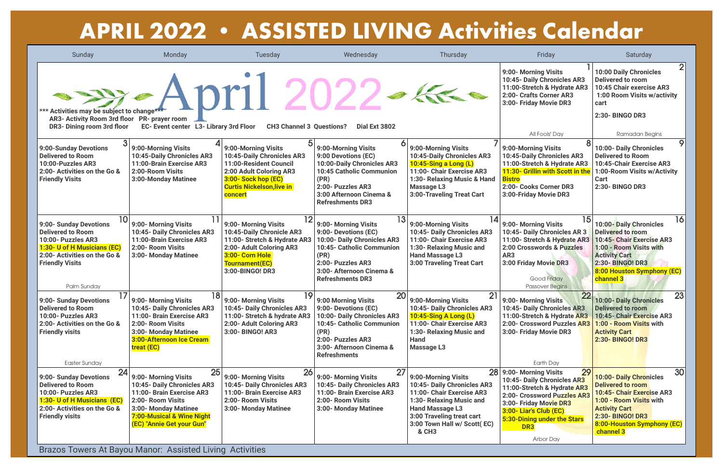Brazos Towers At Bayou Manor: Assisted Living Activities

| Sunday                                                                                                                                                                                              | Monday                                                                                                                                                                                                                                                    | Tuesday                                                                                                                                                                            | Wednesday                                                                                                                                                                                          | <b>Thursday</b>                                                                                                                                                                                                  | Friday                                                                                                                                                                                                                                            | Saturday                                                                                                                                                                                                               |
|-----------------------------------------------------------------------------------------------------------------------------------------------------------------------------------------------------|-----------------------------------------------------------------------------------------------------------------------------------------------------------------------------------------------------------------------------------------------------------|------------------------------------------------------------------------------------------------------------------------------------------------------------------------------------|----------------------------------------------------------------------------------------------------------------------------------------------------------------------------------------------------|------------------------------------------------------------------------------------------------------------------------------------------------------------------------------------------------------------------|---------------------------------------------------------------------------------------------------------------------------------------------------------------------------------------------------------------------------------------------------|------------------------------------------------------------------------------------------------------------------------------------------------------------------------------------------------------------------------|
| *** Activities may be subject to change***<br>AR3- Activity Room 3rd floor PR- prayer room<br>DR3- Dining room 3rd floor                                                                            | EC- Event center L3- Library 3rd Floor                                                                                                                                                                                                                    | $\approx$ April 2022.<br><b>CH3 Channel 3 Questions?</b>                                                                                                                           | Dial Ext 3802                                                                                                                                                                                      | The Re                                                                                                                                                                                                           | 9:00- Morning Visits<br>10:45- Daily Chronicles AR3<br>11:00-Stretch & Hydrate AR3<br>2:00- Crafts Corner AR3<br>3:00- Friday Movie DR3                                                                                                           | $2\vert$<br><b>10:00 Daily Chronicles</b><br><b>Delivered to room</b><br>10:45 Chair exercise AR3<br>1:00 Room Visits w/activity<br>cart<br>2:30- BINGO DR3                                                            |
| 9:00-Sunday Devotions<br><b>Delivered to Room</b><br>10:00-Puzzles AR3<br>2:00- Activities on the Go &<br><b>Friendly Visits</b>                                                                    | 9:00-Morning Visits<br>10:45-Daily Chronicles AR3<br>11:00-Brain Exercise AR3<br>2:00-Room Visits<br>3:00-Monday Matinee                                                                                                                                  | 9:00-Morning Visits<br>10:45-Daily Chronicles AR3<br>11:00-Resident Council<br>2:00 Adult Coloring AR3<br>3:00- Sock hop (EC)<br><b>Curtis Nickelson, live in</b><br>concert       | 9:00-Morning Visits<br>9:00 Devotions (EC)<br>10:00-Daily Chronicles AR3<br><b>10:45 Catholic Communion</b><br>(PR)<br>2:00- Puzzles AR3<br>3:00 Afternoon Cinema &<br><b>Refreshments DR3</b>     | 9:00-Morning Visits<br>10:45-Daily Chronicles AR3<br>10:45-Sing a Long (L)<br>11:00- Chair Exercise AR3<br>1:30- Relaxing Music & Hand<br><b>Massage L3</b><br><b>3:00-Traveling Treat Cart</b>                  | All Fools' Day<br>9:00-Morning Visits<br>10:45-Daily Chronicles AR3<br>11:00-Stretch & Hydrate AR3<br>11:30- Grillin with Scott in the<br><b>Bistro</b><br>2:00- Cooks Corner DR3<br>3:00-Friday Movie DR3                                        | Ramadan Begins<br>9.<br><b>10:00- Daily Chronicles</b><br><b>Delivered to Room</b><br>10:45-Chair Exercise AR3<br>1:00-Room Visits w/Activity<br><b>Cart</b><br>2:30- BINGO DR3                                        |
| 10 <sup>1</sup><br>9:00- Sunday Devotions<br><b>Delivered to Room</b><br>10:00- Puzzles AR3<br>1:30- U of H Musicians (EC)<br>2:00- Activities on the Go &<br><b>Friendly Visits</b><br>Palm Sunday | 9:00- Morning Visits<br>10:45- Daily Chronicles AR3<br>11:00-Brain Exercise AR3<br>2:00- Room Visits<br>3:00- Monday Matinee                                                                                                                              | 12<br>9:00- Morning Visits<br>10:45-Daily Chronicle AR3<br>11:00- Stretch & Hydrate AR3<br>2:00- Adult Coloring AR3<br>3:00- Corn Hole<br><b>Tournament(EC)</b><br>3:00-BINGO! DR3 | 13<br>9:00- Morning Visits<br>9:00- Devotions (EC)<br>10:00- Daily Chronicles AR3<br>10:45- Catholic Communion<br>(PR)<br>2:00- Puzzles AR3<br>3:00- Afternoon Cinema &<br><b>Refreshments DR3</b> | 14<br>9:00-Morning Visits<br>10:45- Daily Chronicles AR3<br>11:00- Chair Exercise AR3<br>1:30- Relaxing Music and<br><b>Hand Massage L3</b><br><b>3:00 Traveling Treat Cart</b>                                  | 15<br>9:00- Morning Visits<br>10:45- Daily Chronicles AR 3<br>11:00- Stretch & Hydrate AR3<br>2:00 Crosswords & Puzzles<br>AR3<br>3:00 Friday Movie DR3<br>Good Friday<br><b>Passover Begins</b>                                                  | 16<br><b>10:00-Daily Chronicles</b><br><b>Delivered to room</b><br>10:45- Chair Exercise AR3<br>1:00 - Room Visits with<br><b>Activity Cart</b><br>2:30- BINGO! DR3<br>8:00 Houston Symphony (EC)<br>channel 3         |
| 17<br>9:00- Sunday Devotions<br><b>Delivered to Room</b><br>10:00- Puzzles AR3<br>2:00- Activities on the Go &<br><b>Friendly visits</b><br><b>Easter Sunday</b>                                    | 18<br>9:00- Morning Visits<br>10:45- Daily Chronicles AR3<br>11:00- Brain Exercise AR3<br>2:00- Room Visits<br>3:00- Monday Matinee<br>3:00-Afternoon Ice Cream<br>treat (EC)                                                                             | 19<br>9:00- Morning Visits<br>10:45- Daily Chronicles AR3<br>11:00- Stretch & hydrate AR3<br>2:00- Adult Coloring AR3<br>3:00- BINGO! AR3                                          | 20<br>9:00 Morning Visits<br>9:00- Devotions (EC)<br>10:00- Daily Chronicles AR3<br>10:45- Catholic Communion<br>(PR)<br>2:00- Puzzles AR3<br>3:00- Afternoon Cinema &<br><b>Refreshments</b>      | 21<br>9:00-Morning Visits<br>10:45- Daily Chronicles AR3<br><b>10:45-Sing A Long (L)</b><br>11:00- Chair Exercise AR3<br>1:30- Relaxing Music and<br><b>Hand</b><br><b>Massage L3</b>                            | 9:00- Morning Visits<br>10:45- Daily Chronicles AR3<br>11:00-Stretch & Hydrate AR3<br>2:00- Crossword Puzzles AR3<br>3:00- Friday Movie DR3<br>Earth Day                                                                                          | 23<br><b>10:00- Daily Chronicles</b><br><b>Delivered to room</b><br>10:45- Chair Exercise AR3<br>1:00 - Room Visits with<br><b>Activity Cart</b><br><b>2:30- BINGO! DR3</b>                                            |
| 24<br>9:00- Sunday Devotions<br><b>Delivered to Room</b><br>10:00- Puzzles AR3<br>1:30- U of H Musicians (EC)<br>2:00- Activities on the Go &<br><b>Friendly visits</b>                             | 25<br>9:00- Morning Visits<br>10:45- Daily Chronicles AR3<br>11:00- Brain Exercise AR3<br>2:00- Room Visits<br>3:00- Monday Matinee<br>7:00-Musical & Wine Night<br>(EC) "Annie Get your Gun"<br>Prozee Tewere At Peveu Maper: Assisted Living Activities | 26<br>9:00- Morning Visits<br>10:45- Daily Chronicles AR3<br>11:00- Brain Exercise AR3<br>2:00- Room Visits<br>3:00- Monday Matinee                                                | 27<br>9:00- Morning Visits<br>10:45- Daily Chronicles AR3<br>11:00- Brain Exercise AR3<br>2:00- Room Visits<br>3:00- Monday Matinee                                                                | 28<br>9:00-Morning Visits<br>10:45- Daily Chronicles AR3<br>11:00- Chair Exercise AR3<br>1:30- Relaxing Music and<br><b>Hand Massage L3</b><br>3:00 Traveling treat cart<br>3:00 Town Hall w/ Scott(EC)<br>& CH3 | 29<br>9:00- Morning Visits<br>10:45- Daily Chronicles AR3<br>11:00-Stretch & Hydrate AR3<br>2:00- Crossword Puzzles AR3<br>3:00- Friday Movie DR3<br>3:00- Liar's Club (EC)<br>5:30-Dining under the Stars<br>DR <sub>3</sub><br><b>Arbor Day</b> | 30<br><b>10:00- Daily Chronicles</b><br><b>Delivered to room</b><br><b>10:45- Chair Exercise AR3</b><br>1:00 - Room Visits with<br><b>Activity Cart</b><br>2:30- BINGO! DR3<br>8:00-Houston Symphony (EC)<br>channel 3 |

## **APRIL 2022 • ASSISTED LIVING Activities Calendar**